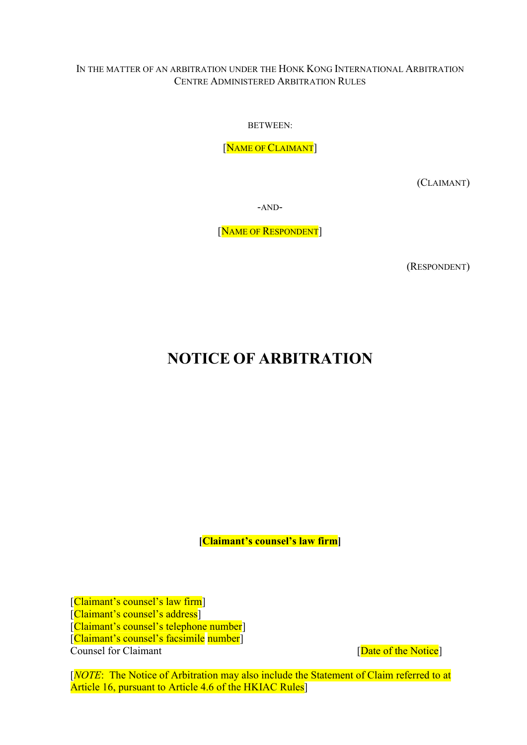#### IN THE MATTER OF AN ARBITRATION UNDER THE HONK KONG INTERNATIONAL ARBITRATION CENTRE ADMINISTERED ARBITRATION RULES

BETWEEN:

[NAME OF CLAIMANT]

(CLAIMANT)

-AND-

[NAME OF RESPONDENT]

(RESPONDENT)

# NOTICE OF ARBITRATION

[Claimant's counsel's law firm]

[Claimant's counsel's law firm] [Claimant's counsel's address] [Claimant's counsel's telephone number] [Claimant's counsel's facsimile number]

Counsel for Claimant **Counsel for Claimant Counsel** for Claimant

[NOTE: The Notice of Arbitration may also include the Statement of Claim referred to at Article 16, pursuant to Article 4.6 of the HKIAC Rules<sup>[1]</sup>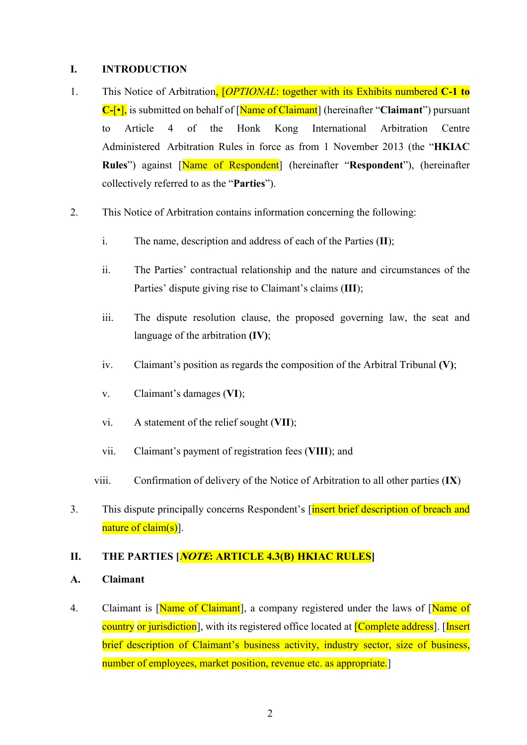#### I. INTRODUCTION

- 1. This Notice of Arbitration, *[OPTIONAL*: together with its Exhibits numbered **C-1 to**  $C$ -[ $\cdot$ ], is submitted on behalf of [Name of Claimant] (hereinafter "Claimant") pursuant to Article 4 of the Honk Kong International Arbitration Centre Administered Arbitration Rules in force as from 1 November 2013 (the "HKIAC Rules") against [Name of Respondent] (hereinafter "Respondent"), (hereinafter collectively referred to as the "Parties").
- 2. This Notice of Arbitration contains information concerning the following:
	- i. The name, description and address of each of the Parties (II);
	- ii. The Parties' contractual relationship and the nature and circumstances of the Parties' dispute giving rise to Claimant's claims (III);
	- iii. The dispute resolution clause, the proposed governing law, the seat and language of the arbitration (IV);
	- iv. Claimant's position as regards the composition of the Arbitral Tribunal  $(V)$ ;
	- v. Claimant's damages (VI);
	- vi. A statement of the relief sought (VII);
	- vii. Claimant's payment of registration fees (VIII); and
	- viii. Confirmation of delivery of the Notice of Arbitration to all other parties (IX)
- 3. This dispute principally concerns Respondent's *[insert brief description of breach and* nature of claim(s).

#### II. THE PARTIES [*NOTE*: ARTICLE 4.3(B) HKIAC RULES]

- A. Claimant
- 4. Claimant is [Name of Claimant], a company registered under the laws of [Name of country or jurisdiction], with its registered office located at **[Complete address**]. [Insert brief description of Claimant's business activity, industry sector, size of business, number of employees, market position, revenue etc. as appropriate.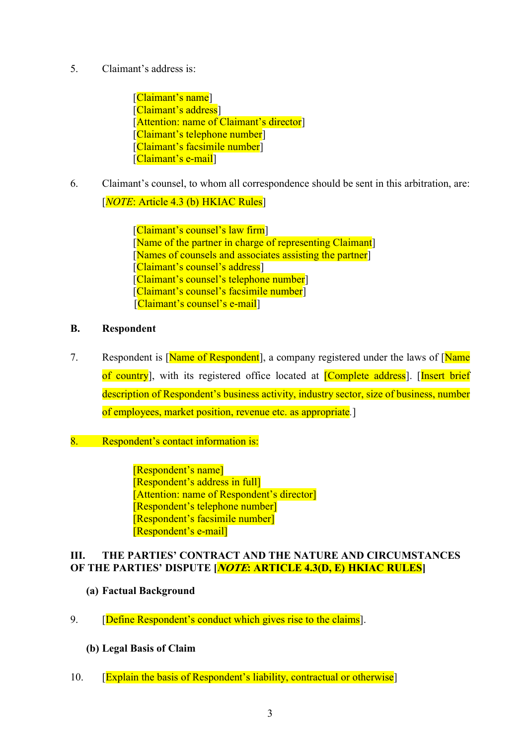5. Claimant's address is:

[Claimant's name] [Claimant's address] [Attention: name of Claimant's director] [Claimant's telephone number] [Claimant's facsimile number] [Claimant's e-mail]

6. Claimant's counsel, to whom all correspondence should be sent in this arbitration, are: [*NOTE*: Article 4.3 (b) HKIAC Rules]

> [Claimant's counsel's law firm] [Name of the partner in charge of representing Claimant] [Names of counsels and associates assisting the partner] [Claimant's counsel's address] [Claimant's counsel's telephone number] [Claimant's counsel's facsimile number] [Claimant's counsel's e-mail]

# B. Respondent

- 7. Respondent is [Name of Respondent], a company registered under the laws of [Name of country], with its registered office located at [Complete address]. [Insert brief description of Respondent's business activity, industry sector, size of business, number of employees, market position, revenue etc. as appropriate.]
- 8. Respondent's contact information is:

[Respondent's name] [Respondent's address in full] [Attention: name of Respondent's director] [Respondent's telephone number] [Respondent's facsimile number] [Respondent's e-mail]

# III. THE PARTIES' CONTRACT AND THE NATURE AND CIRCUMSTANCES OF THE PARTIES' DISPUTE [*NOTE*: ARTICLE 4.3(D, E) HKIAC RULES]

# (a) Factual Background

9. **[Define Respondent's conduct which gives rise to the claims].** 

#### (b) Legal Basis of Claim

10. **[Explain the basis of Respondent's liability, contractual or otherwise]**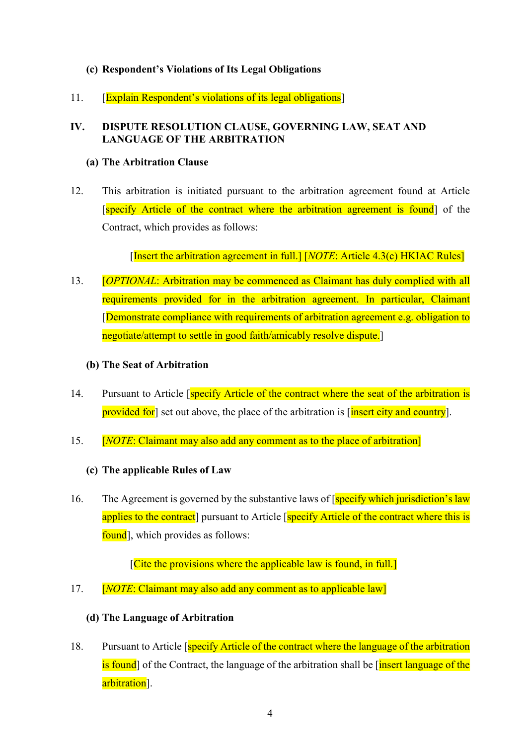### (c) Respondent's Violations of Its Legal Obligations

11. [Explain Respondent's violations of its legal obligations]

#### IV. DISPUTE RESOLUTION CLAUSE, GOVERNING LAW, SEAT AND LANGUAGE OF THE ARBITRATION

#### (a) The Arbitration Clause

12. This arbitration is initiated pursuant to the arbitration agreement found at Article [specify Article of the contract where the arbitration agreement is found] of the Contract, which provides as follows:

[Insert the arbitration agreement in full.]  $[NOTE: Article 4.3(c) HKIAC Rules]$ 

- 13. *COPTIONAL:* Arbitration may be commenced as Claimant has duly complied with all requirements provided for in the arbitration agreement. In particular, Claimant [Demonstrate compliance with requirements of arbitration agreement e.g. obligation to negotiate/attempt to settle in good faith/amicably resolve dispute.]
	- (b) The Seat of Arbitration
- 14. Pursuant to Article [specify Article of the contract where the seat of the arbitration is provided for set out above, the place of the arbitration is [insert city and country].
- 15. **[NOTE: Claimant may also add any comment as to the place of arbitration]**

#### (c) The applicable Rules of Law

16. The Agreement is governed by the substantive laws of [specify which jurisdiction's law applies to the contract] pursuant to Article [specify Article of the contract where this is found, which provides as follows:

[Cite the provisions where the applicable law is found, in full.]

17. **[NOTE: Claimant may also add any comment as to applicable law]** 

#### (d) The Language of Arbitration

18. Pursuant to Article [specify Article of the contract where the language of the arbitration is found of the Contract, the language of the arbitration shall be finsert language of the arbitration<sup>]</sup>.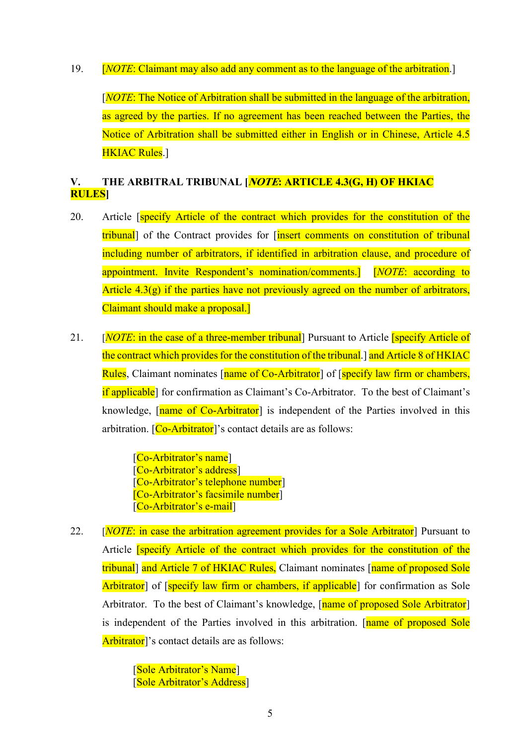19. **[NOTE: Claimant may also add any comment as to the language of the arbitration.]** 

[NOTE: The Notice of Arbitration shall be submitted in the language of the arbitration, as agreed by the parties. If no agreement has been reached between the Parties, the Notice of Arbitration shall be submitted either in English or in Chinese, Article 4.5 HKIAC Rules.]

# V. THE ARBITRAL TRIBUNAL [*NOTE*: ARTICLE 4.3(G, H) OF HKIAC RULES]

- 20. Article *specify Article of the contract which provides for the constitution of the* tribunal] of the Contract provides for *[insert comments on constitution of tribunal* including number of arbitrators, if identified in arbitration clause, and procedure of appointment. Invite Respondent's nomination/comments. [NOTE: according to Article  $4.3(g)$  if the parties have not previously agreed on the number of arbitrators, Claimant should make a proposal.]
- 21. [NOTE: in the case of a three-member tribunal] Pursuant to Article [specify Article of the contract which provides for the constitution of the tribunal.] and Article 8 of HKIAC Rules, Claimant nominates [name of Co-Arbitrator] of [specify law firm or chambers, if applicable] for confirmation as Claimant's Co-Arbitrator. To the best of Claimant's knowledge, [name of Co-Arbitrator] is independent of the Parties involved in this arbitration.  $[Co-Arbitrator]$ 's contact details are as follows:

[Co-Arbitrator's name] [Co-Arbitrator's address] [Co-Arbitrator's telephone number] [Co-Arbitrator's facsimile number] [Co-Arbitrator's e-mail]

22. [*NOTE*: in case the arbitration agreement provides for a Sole Arbitrator<sup>]</sup> Pursuant to Article [specify Article of the contract which provides for the constitution of the tribunal] and Article 7 of HKIAC Rules, Claimant nominates [name of proposed Sole Arbitrator] of [specify law firm or chambers, if applicable] for confirmation as Sole Arbitrator. To the best of Claimant's knowledge, [name of proposed Sole Arbitrator] is independent of the Parties involved in this arbitration. [name of proposed Sole Arbitrator]'s contact details are as follows:

> [Sole Arbitrator's Name] [Sole Arbitrator's Address]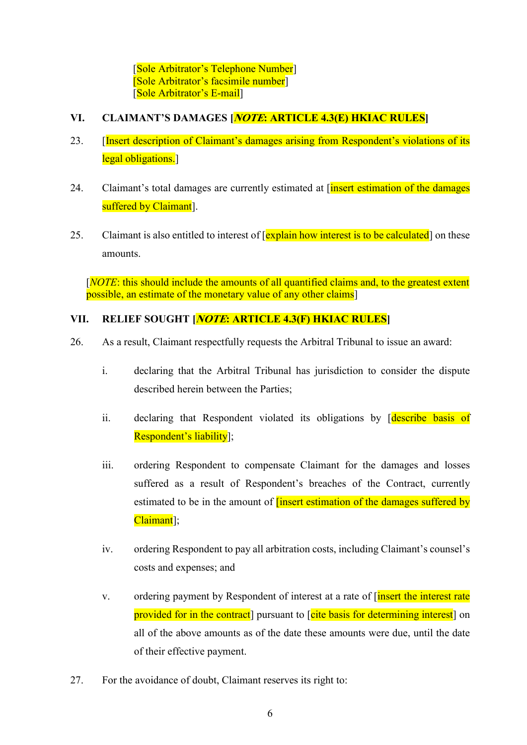[Sole Arbitrator's Telephone Number] [Sole Arbitrator's facsimile number] [Sole Arbitrator's E-mail]

### VI. CLAIMANT'S DAMAGES [*NOTE*: ARTICLE 4.3(E) HKIAC RULES]

- 23. [Insert description of Claimant's damages arising from Respondent's violations of its legal obligations.
- 24. Claimant's total damages are currently estimated at *[insert estimation of the damages* suffered by Claimant<sup>]</sup>.
- 25. Claimant is also entitled to interest of [explain how interest is to be calculated] on these amounts.

[NOTE: this should include the amounts of all quantified claims and, to the greatest extent possible, an estimate of the monetary value of any other claims]

# VII. RELIEF SOUGHT [*NOTE*: ARTICLE 4.3(F) HKIAC RULES]

- 26. As a result, Claimant respectfully requests the Arbitral Tribunal to issue an award:
	- i. declaring that the Arbitral Tribunal has jurisdiction to consider the dispute described herein between the Parties;
	- ii. declaring that Respondent violated its obligations by *describe basis* of Respondent's liability];
	- iii. ordering Respondent to compensate Claimant for the damages and losses suffered as a result of Respondent's breaches of the Contract, currently estimated to be in the amount of **[insert estimation of the damages suffered by** Claimant];
	- iv. ordering Respondent to pay all arbitration costs, including Claimant's counsel's costs and expenses; and
	- v. ordering payment by Respondent of interest at a rate of *[insert the interest rate* provided for in the contract] pursuant to [cite basis for determining interest] on all of the above amounts as of the date these amounts were due, until the date of their effective payment.
- 27. For the avoidance of doubt, Claimant reserves its right to: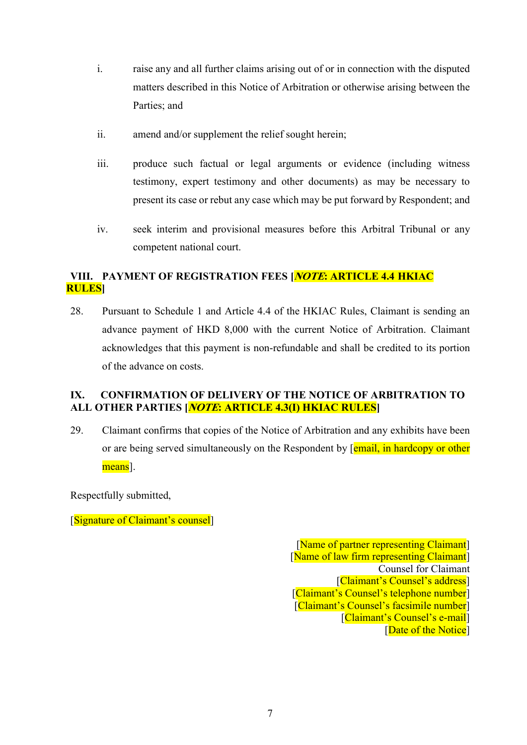- i. raise any and all further claims arising out of or in connection with the disputed matters described in this Notice of Arbitration or otherwise arising between the Parties; and
- ii. amend and/or supplement the relief sought herein;
- iii. produce such factual or legal arguments or evidence (including witness testimony, expert testimony and other documents) as may be necessary to present its case or rebut any case which may be put forward by Respondent; and
- iv. seek interim and provisional measures before this Arbitral Tribunal or any competent national court.

# VIII. PAYMENT OF REGISTRATION FEES **MOTE: ARTICLE 4.4 HKIAC** RULES]

28. Pursuant to Schedule 1 and Article 4.4 of the HKIAC Rules, Claimant is sending an advance payment of HKD 8,000 with the current Notice of Arbitration. Claimant acknowledges that this payment is non-refundable and shall be credited to its portion of the advance on costs.

# IX. CONFIRMATION OF DELIVERY OF THE NOTICE OF ARBITRATION TO ALL OTHER PARTIES [*NOTE*: ARTICLE 4.3(I) HKIAC RULES]

29. Claimant confirms that copies of the Notice of Arbitration and any exhibits have been or are being served simultaneously on the Respondent by [email, in hardcopy or other means].

Respectfully submitted,

[Signature of Claimant's counsel]

[Name of partner representing Claimant] [Name of law firm representing Claimant] Counsel for Claimant [Claimant's Counsel's address] [Claimant's Counsel's telephone number] [Claimant's Counsel's facsimile number] [Claimant's Counsel's e-mail] [Date of the Notice]